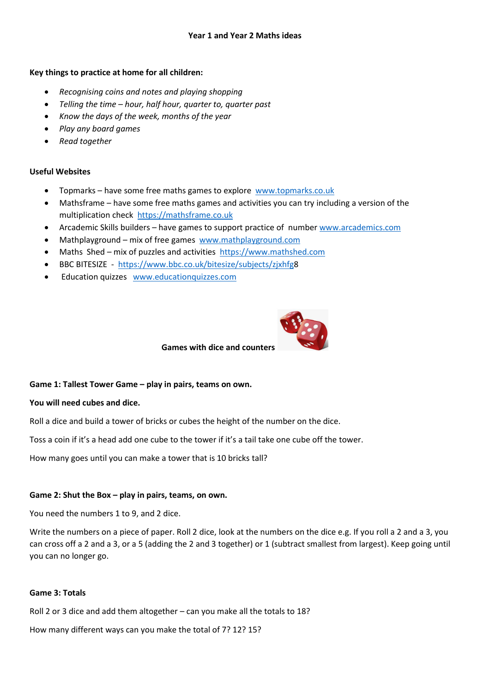## **Key things to practice at home for all children:**

- *Recognising coins and notes and playing shopping*
- *Telling the time – hour, half hour, quarter to, quarter past*
- *Know the days of the week, months of the year*
- *Play any board games*
- *Read together*

## **Useful Websites**

- Topmarks have some free maths games to explore [www.topmarks.co.uk](http://www.topmarks.co.uk/)
- Mathsframe have some free maths games and activities you can try including a version of the multiplication check [https://mathsframe.co.uk](https://mathsframe.co.uk/)
- Arcademic Skills builders have games to support practice of number [www.arcademics.com](http://www.arcademics.com/)
- Mathplayground mix of free games [www.mathplayground.com](http://www.mathplayground.com/)
- Maths Shed mix of puzzles and activities [https://www.mathshed.com](https://www.mathshed.com/)
- BBC BITESIZE - [https://www.bbc.co.uk/bitesize/subjects/zjxhfg8](https://www.bbc.co.uk/bitesize/subjects/zjxhfg)
- Education quizzes [www.educationquizzes.com](http://www.educationquizzes.com/)



## **Games with dice and counters**

## **Game 1: Tallest Tower Game – play in pairs, teams on own.**

## **You will need cubes and dice.**

Roll a dice and build a tower of bricks or cubes the height of the number on the dice.

Toss a coin if it's a head add one cube to the tower if it's a tail take one cube off the tower.

How many goes until you can make a tower that is 10 bricks tall?

## **Game 2: Shut the Box – play in pairs, teams, on own.**

You need the numbers 1 to 9, and 2 dice.

Write the numbers on a piece of paper. Roll 2 dice, look at the numbers on the dice e.g. If you roll a 2 and a 3, you can cross off a 2 and a 3, or a 5 (adding the 2 and 3 together) or 1 (subtract smallest from largest). Keep going until you can no longer go.

## **Game 3: Totals**

Roll 2 or 3 dice and add them altogether – can you make all the totals to 18?

How many different ways can you make the total of 7? 12? 15?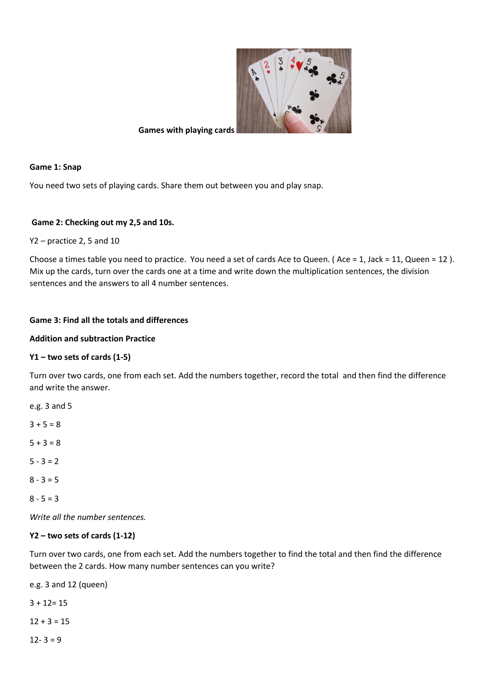

**Games with playing cards**

## **Game 1: Snap**

You need two sets of playing cards. Share them out between you and play snap.

## **Game 2: Checking out my 2,5 and 10s.**

Y2 – practice 2, 5 and 10

Choose a times table you need to practice. You need a set of cards Ace to Queen. (Ace = 1, Jack = 11, Queen = 12). Mix up the cards, turn over the cards one at a time and write down the multiplication sentences, the division sentences and the answers to all 4 number sentences.

## **Game 3: Find all the totals and differences**

## **Addition and subtraction Practice**

## **Y1 – two sets of cards (1-5)**

Turn over two cards, one from each set. Add the numbers together, record the total and then find the difference and write the answer.

e.g. 3 and 5  $3 + 5 = 8$  $5 + 3 = 8$  $5 - 3 = 2$  $8 - 3 = 5$  $8 - 5 = 3$ 

*Write all the number sentences.*

## **Y2 – two sets of cards (1-12)**

Turn over two cards, one from each set. Add the numbers together to find the total and then find the difference between the 2 cards. How many number sentences can you write?

e.g. 3 and 12 (queen)

 $3 + 12 = 15$ 

 $12 + 3 = 15$ 

 $12 - 3 = 9$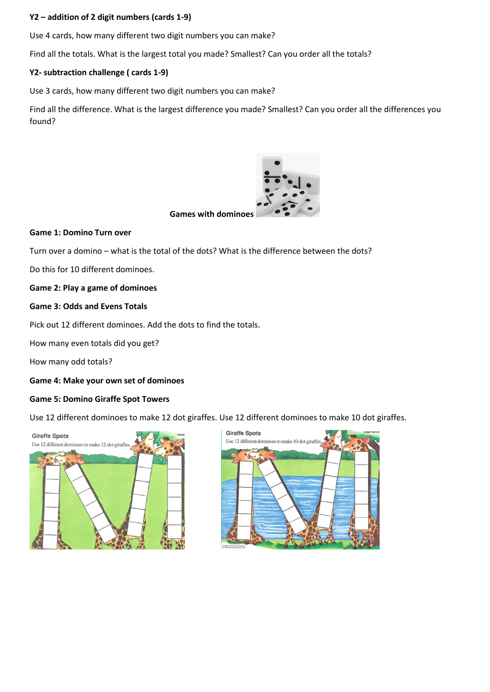## **Y2 – addition of 2 digit numbers (cards 1-9)**

Use 4 cards, how many different two digit numbers you can make?

Find all the totals. What is the largest total you made? Smallest? Can you order all the totals?

#### **Y2- subtraction challenge ( cards 1-9)**

Use 3 cards, how many different two digit numbers you can make?

Find all the difference. What is the largest difference you made? Smallest? Can you order all the differences you found?



## **Games with dominoes**

#### **Game 1: Domino Turn over**

Turn over a domino – what is the total of the dots? What is the difference between the dots?

Do this for 10 different dominoes.

#### **Game 2: Play a game of dominoes**

#### **Game 3: Odds and Evens Totals**

Pick out 12 different dominoes. Add the dots to find the totals.

How many even totals did you get?

How many odd totals?

**Game 4: Make your own set of dominoes** 

#### **Game 5: Domino Giraffe Spot Towers**

Use 12 different dominoes to make 12 dot giraffes. Use 12 different dominoes to make 10 dot giraffes.



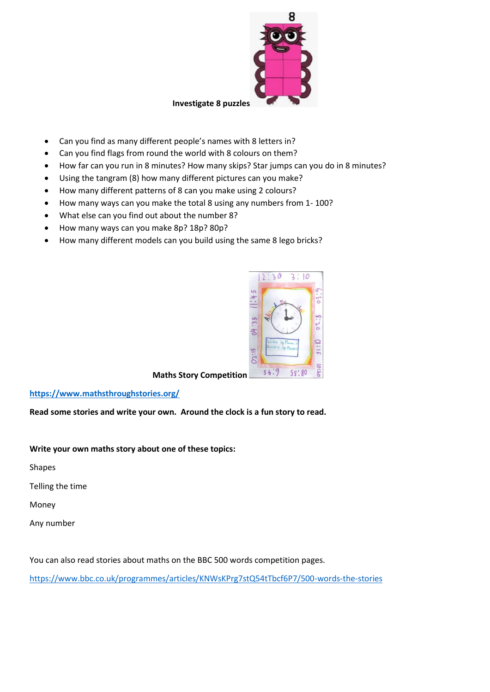

## Can you find as many different people's names with 8 letters in?

- Can you find flags from round the world with 8 colours on them?
- How far can you run in 8 minutes? How many skips? Star jumps can you do in 8 minutes?
- Using the tangram (8) how many different pictures can you make?
- How many different patterns of 8 can you make using 2 colours?
- How many ways can you make the total 8 using any numbers from 1- 100?
- What else can you find out about the number 8?
- How many ways can you make 8p? 18p? 80p?
- How many different models can you build using the same 8 lego bricks?



**Maths Story Competition** 

## **<https://www.mathsthroughstories.org/>**

**Read some stories and write your own. Around the clock is a fun story to read.**

**Write your own maths story about one of these topics:**

Shapes

Telling the time

Money

Any number

You can also read stories about maths on the BBC 500 words competition pages.

<https://www.bbc.co.uk/programmes/articles/KNWsKPrg7stQ54tTbcf6P7/500-words-the-stories>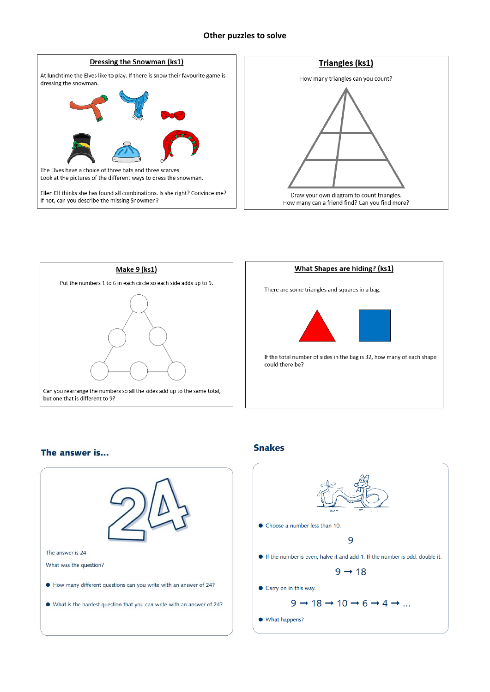#### **Other puzzles to solve**









#### The answer is...



## **Snakes**